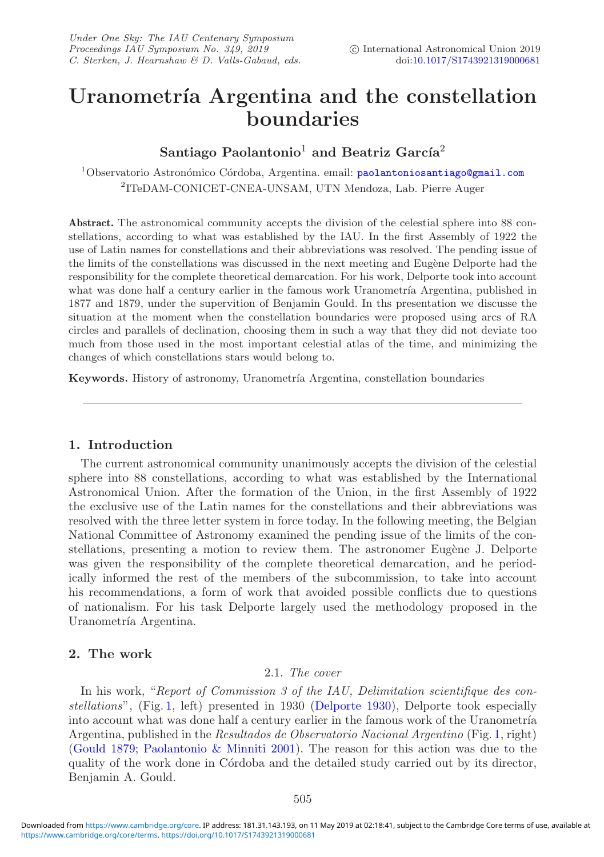# Uranometría Argentina and the constellation **boundaries**

# Santiago Paolantonio<sup>1</sup> and Beatriz García<sup>2</sup>

<sup>1</sup>Observatorio Astronómico Córdoba, Argentina. email: [paolantoniosantiago@gmail.com](mailto:paolantoniosantiago@gmail.com) <sup>2</sup>ITeDAM-CONICET-CNEA-UNSAM, UTN Mendoza, Lab. Pierre Auger

**Abstract.** The astronomical community accepts the division of the celestial sphere into 88 constellations, according to what was established by the IAU. In the first Assembly of 1922 the use of Latin names for constellations and their abbreviations was resolved. The pending issue of the limits of the constellations was discussed in the next meeting and Eugène Delporte had the responsibility for the complete theoretical demarcation. For his work, Delporte took into account what was done half a century earlier in the famous work Uranometría Argentina, published in 1877 and 1879, under the supervition of Benjamin Gould. In ths presentation we discusse the situation at the moment when the constellation boundaries were proposed using arcs of RA circles and parallels of declination, choosing them in such a way that they did not deviate too much from those used in the most important celestial atlas of the time, and minimizing the changes of which constellations stars would belong to.

**Keywords.** History of astronomy, Uranometría Argentina, constellation boundaries

# **1. Introduction**

The current astronomical community unanimously accepts the division of the celestial sphere into 88 constellations, according to what was established by the International Astronomical Union. After the formation of the Union, in the first Assembly of 1922 the exclusive use of the Latin names for the constellations and their abbreviations was resolved with the three letter system in force today. In the following meeting, the Belgian National Committee of Astronomy examined the pending issue of the limits of the constellations, presenting a motion to review them. The astronomer Eugène J. Delporte was given the responsibility of the complete theoretical demarcation, and he periodically informed the rest of the members of the subcommission, to take into account his recommendations, a form of work that avoided possible conflicts due to questions of nationalism. For his task Delporte largely used the methodology proposed in the Uranometría Argentina.

## **2. The work**

## 2.1. *The cover*

In his work, "*Report of Commission 3 of the IAU, Delimitation scientifique des constellations*", (Fig. [1,](#page-1-0) left) presented in 1930 [\(Delporte 1930\)](#page-4-0), Delporte took especially into account what was done half a century earlier in the famous work of the Uranometría Argentina, published in the *Resultados de Observatorio Nacional Argentino* (Fig. [1,](#page-1-0) right) [\(Gould 1879](#page-4-1); [Paolantonio & Minniti 2001](#page-4-2)). The reason for this action was due to the quality of the work done in Córdoba and the detailed study carried out by its director, Benjamin A. Gould.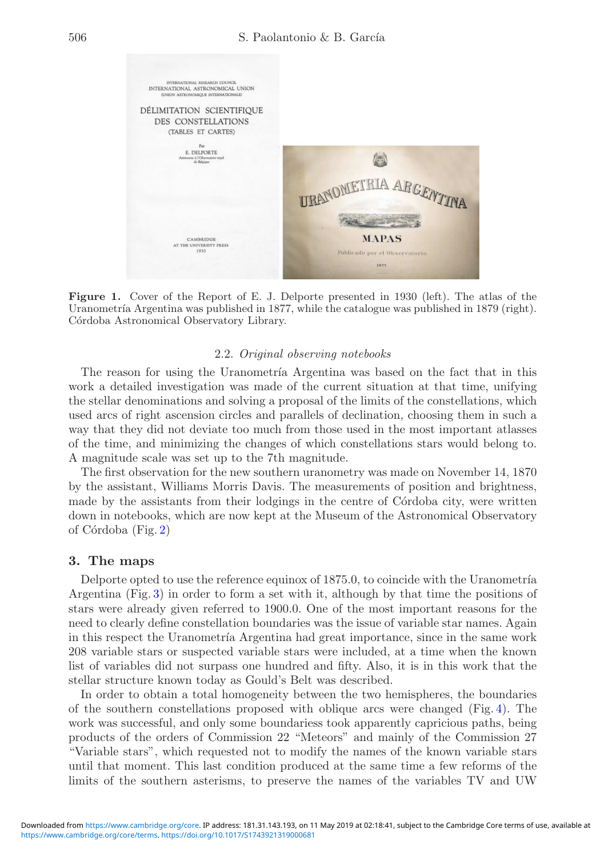<span id="page-1-0"></span>

**Figure 1.** Cover of the Report of E. J. Delporte presented in 1930 (left). The atlas of the Uranometría Argentina was published in 1877, while the catalogue was published in 1879 (right). Córdoba Astronomical Observatory Library.

#### 2.2. *Original observing notebooks*

The reason for using the Uranometría Argentina was based on the fact that in this work a detailed investigation was made of the current situation at that time, unifying the stellar denominations and solving a proposal of the limits of the constellations, which used arcs of right ascension circles and parallels of declination, choosing them in such a way that they did not deviate too much from those used in the most important atlasses of the time, and minimizing the changes of which constellations stars would belong to. A magnitude scale was set up to the 7th magnitude.

The first observation for the new southern uranometry was made on November 14, 1870 by the assistant, Williams Morris Davis. The measurements of position and brightness, made by the assistants from their lodgings in the centre of Córdoba city, were written down in notebooks, which are now kept at the Museum of the Astronomical Observatory of Córdoba (Fig. [2\)](#page-2-0)

#### **3. The maps**

Delporte opted to use the reference equinox of 1875.0, to coincide with the Uranometría Argentina (Fig. [3\)](#page-2-1) in order to form a set with it, although by that time the positions of stars were already given referred to 1900.0. One of the most important reasons for the need to clearly define constellation boundaries was the issue of variable star names. Again in this respect the Uranometría Argentina had great importance, since in the same work 208 variable stars or suspected variable stars were included, at a time when the known list of variables did not surpass one hundred and fifty. Also, it is in this work that the stellar structure known today as Gould's Belt was described.

In order to obtain a total homogeneity between the two hemispheres, the boundaries of the southern constellations proposed with oblique arcs were changed (Fig. [4\)](#page-3-0). The work was successful, and only some boundariess took apparently capricious paths, being products of the orders of Commission 22 "Meteors" and mainly of the Commission 27 "Variable stars", which requested not to modify the names of the known variable stars until that moment. This last condition produced at the same time a few reforms of the limits of the southern asterisms, to preserve the names of the variables TV and UW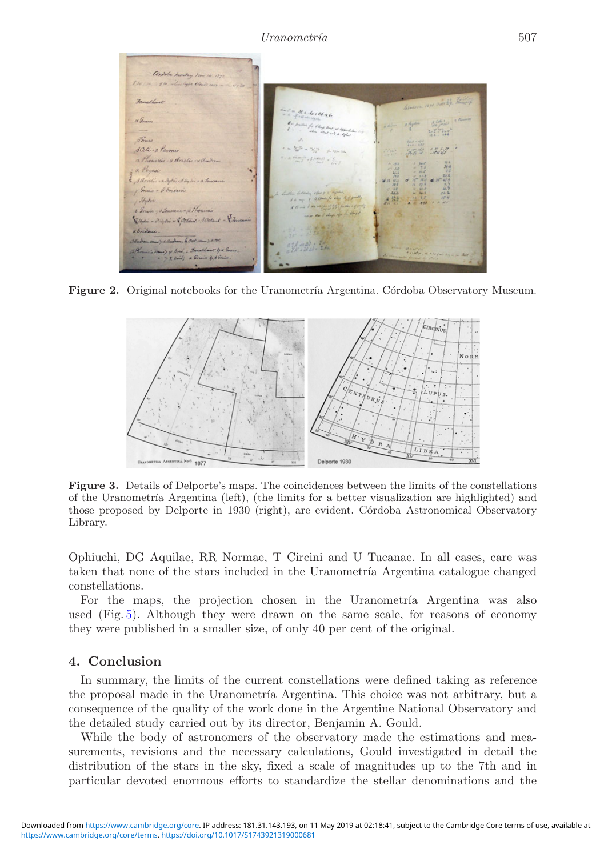<span id="page-2-0"></span>

Figure 2. Original notebooks for the Uranometría Argentina. Córdoba Observatory Museum.

<span id="page-2-1"></span>

**Figure 3.** Details of Delporte's maps. The coincidences between the limits of the constellations of the Uranometría Argentina (left), (the limits for a better visualization are highlighted) and those proposed by Delporte in 1930 (right), are evident. Córdoba Astronomical Observatory Library.

Ophiuchi, DG Aquilae, RR Normae, T Circini and U Tucanae. In all cases, care was taken that none of the stars included in the Uranometría Argentina catalogue changed constellations.

For the maps, the projection chosen in the Uranometría Argentina was also used (Fig. [5\)](#page-4-3). Although they were drawn on the same scale, for reasons of economy they were published in a smaller size, of only 40 per cent of the original.

#### **4. Conclusion**

In summary, the limits of the current constellations were defined taking as reference the proposal made in the Uranometría Argentina. This choice was not arbitrary, but a consequence of the quality of the work done in the Argentine National Observatory and the detailed study carried out by its director, Benjamin A. Gould.

While the body of astronomers of the observatory made the estimations and measurements, revisions and the necessary calculations, Gould investigated in detail the distribution of the stars in the sky, fixed a scale of magnitudes up to the 7th and in particular devoted enormous efforts to standardize the stellar denominations and the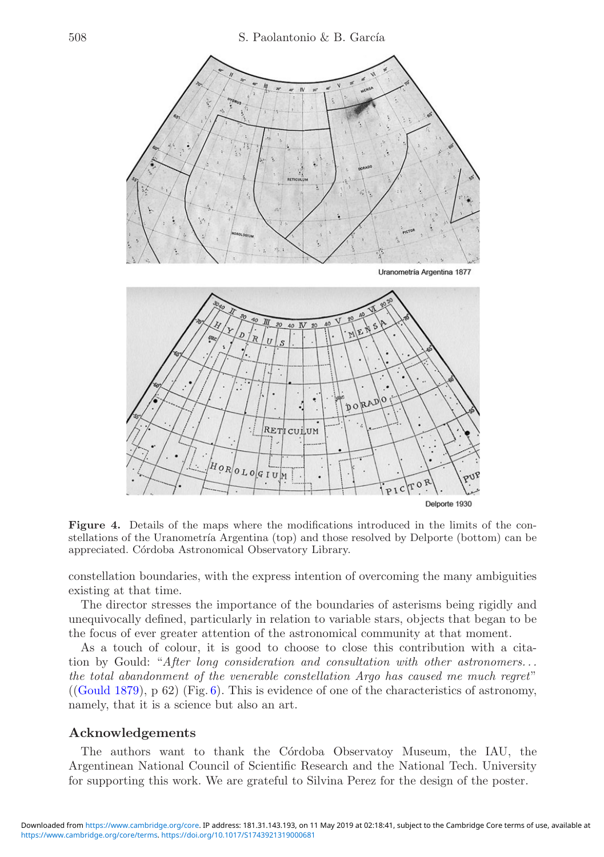<span id="page-3-0"></span>

**Figure 4.** Details of the maps where the modifications introduced in the limits of the constellations of the Uranometría Argentina (top) and those resolved by Delporte (bottom) can be appreciated. Córdoba Astronomical Observatory Library.

constellation boundaries, with the express intention of overcoming the many ambiguities existing at that time.

The director stresses the importance of the boundaries of asterisms being rigidly and unequivocally defined, particularly in relation to variable stars, objects that began to be the focus of ever greater attention of the astronomical community at that moment.

As a touch of colour, it is good to choose to close this contribution with a citation by Gould: "*After long consideration and consultation with other astronomers. . . the total abandonment of the venerable constellation Argo has caused me much regret*" ([\(Gould 1879\)](#page-4-1), p 62) (Fig. [6\)](#page-4-4). This is evidence of one of the characteristics of astronomy, namely, that it is a science but also an art.

#### **Acknowledgements**

The authors want to thank the C´ordoba Observatoy Museum, the IAU, the Argentinean National Council of Scientific Research and the National Tech. University for supporting this work. We are grateful to Silvina Perez for the design of the poster.